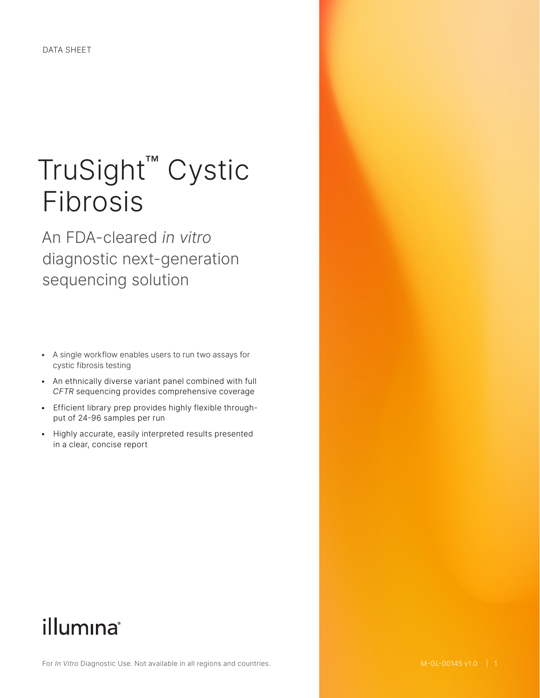# TruSight™ Cystic Fibrosis

An FDA-cleared *in vitro* diagnostic next-generation sequencing solution

- A single workflow enables users to run two assays for cystic fibrosis testing
- An ethnically diverse variant panel combined with full *CFTR* sequencing provides comprehensive coverage
- Efficient library prep provides highly flexible throughput of 24-96 samples per run
- Highly accurate, easily interpreted results presented in a clear, concise report

# illumina®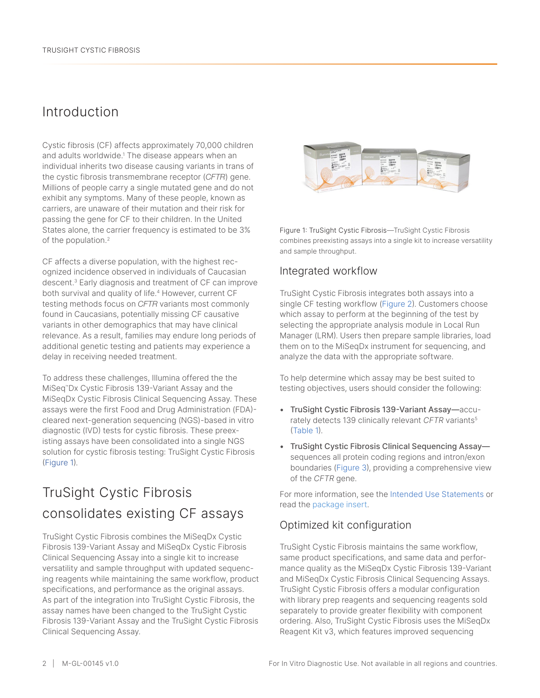## Introduction

Cystic fibrosis (CF) affects approximately 70,000 children and adults worldwide.<sup>1</sup> The disease appears when an individual inherits two disease causing variants in trans of the cystic fibrosis transmembrane receptor (*CFTR*) gene. Millions of people carry a single mutated gene and do not exhibit any symptoms. Many of these people, known as carriers, are unaware of their mutation and their risk for passing the gene for CF to their children. In the United States alone, the carrier frequency is estimated to be 3% of the population.<sup>2</sup>

CF affects a diverse population, with the highest recognized incidence observed in individuals of Caucasian descent.3 Early diagnosis and treatment of CF can improve both survival and quality of life.4 However, current CF testing methods focus on *CFTR* variants most commonly found in Caucasians, potentially missing CF causative variants in other demographics that may have clinical relevance. As a result, families may endure long periods of additional genetic testing and patients may experience a delay in receiving needed treatment.

To address these challenges, Illumina offered the the MiSeq™Dx Cystic Fibrosis 139-Variant Assay and the MiSeqDx Cystic Fibrosis Clinical Sequencing Assay. These assays were the first Food and Drug Administration (FDA) cleared next-generation sequencing (NGS)-based in vitro diagnostic (IVD) tests for cystic fibrosis. These preexisting assays have been consolidated into a single NGS solution for cystic fibrosis testing: TruSight Cystic Fibrosis (Figure 1).

# TruSight Cystic Fibrosis consolidates existing CF assays

TruSight Cystic Fibrosis combines the MiSeqDx Cystic Fibrosis 139-Variant Assay and MiSeqDx Cystic Fibrosis Clinical Sequencing Assay into a single kit to increase versatility and sample throughput with updated sequencing reagents while maintaining the same workflow, product specifications, and performance as the original assays. As part of the integration into TruSight Cystic Fibrosis, the assay names have been changed to the TruSight Cystic Fibrosis 139-Variant Assay and the TruSight Cystic Fibrosis Clinical Sequencing Assay.



Figure 1: TruSight Cystic Fibrosis—TruSight Cystic Fibrosis combines preexisting assays into a single kit to increase versatility and sample throughput.

### Integrated workflow

TruSight Cystic Fibrosis integrates both assays into a single CF testing workflow [\(Figure 2](https://pubmed.ncbi.nlm.nih.gov/16449502/)). Customers choose which assay to perform at the beginning of the test by selecting the appropriate analysis module in Local Run Manager (LRM). Users then prepare sample libraries, load them on to the MiSeqDx instrument for sequencing, and analyze the data with the appropriate software.

To help determine which assay may be best suited to testing objectives, users should consider the following:

- TruSight Cystic Fibrosis 139-Variant Assay—accurately detects 139 clinically relevant *CFTR* variants5 (Table 1).
- TruSight Cystic Fibrosis Clinical Sequencing Assay sequences all protein coding regions and intron/exon boundaries (Figure 3), providing a comprehensive view of the *CFTR* gene.

For more information, see the Intended Use Statements or read the [package](https://support.illumina.com//downloads/cystic-fibrosis-139-variant-assay-physician-insert-15052172.html) insert.

#### Optimized kit configuration

TruSight Cystic Fibrosis maintains the same workflow, same product specifications, and same data and performance quality as the MiSeqDx Cystic Fibrosis 139-Variant and MiSeqDx Cystic Fibrosis Clinical Sequencing Assays. TruSight Cystic Fibrosis offers a modular configuration with library prep reagents and sequencing reagents sold separately to provide greater flexibility with component ordering. Also, TruSight Cystic Fibrosis uses the MiSeqDx Reagent Kit v3, which features improved sequencing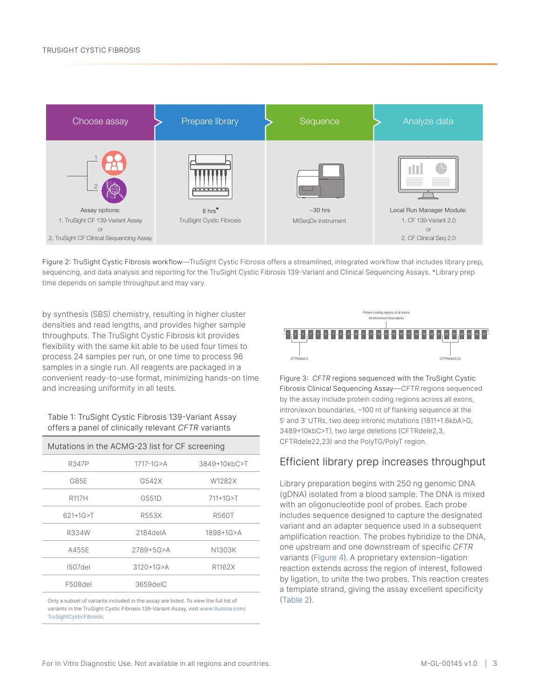

Figure 2: TruSight Cystic Fibrosis workflow—TruSight Cystic Fibrosis offers a streamlined, integrated workflow that includes library prep, sequencing, and data analysis and reporting for the TruSight Cystic Fibrosis 139-Variant and Clinical Sequencing Assays. \*Library prep time depends on sample throughput and may vary.

by synthesis (SBS) chemistry, resulting in higher cluster densities and read lengths, and provides higher sample throughputs. The TruSight Cystic Fibrosis kit provides flexibility with the same kit able to be used four times to process 24 samples per run, or one time to process 96 samples in a single run. All reagents are packaged in a convenient ready-to-use format, minimizing hands-on time and increasing uniformity in all tests.

#### Table 1: TruSight Cystic Fibrosis 139-Variant Assay offers a panel of clinically relevant *CFTR* variants

| Mutations in the ACMG-23 list for CF screening |                 |              |  |  |
|------------------------------------------------|-----------------|--------------|--|--|
| R347P                                          | $1717 - 1G > A$ | 3849+10kbC>T |  |  |
| G85E                                           | G542X           | W1282X       |  |  |
| <b>R117H</b>                                   | G551D           | 711+1G>T     |  |  |
| 621+1G>T                                       | R553X           | R560T        |  |  |
| R334W                                          | $2184$ del $A$  | 1898+1G>A    |  |  |
| A455E                                          | 2789+5G>A       | N1303K       |  |  |
| 1507del                                        | $3120 + 1G > A$ | R1162X       |  |  |
| F508del                                        | 3659delC        |              |  |  |

Only a subset of variants included in the assay are listed. To view the full list of variants in the TruSight Cystic Fibrosis 139-Variant Assay, visit [www.illumina.com/](http://www.illumina.com/TruSightCysticFibrosis) [TruSightCysticFibrosis](http://www.illumina.com/TruSightCysticFibrosis).



Figure 3: *CFTR* regions sequenced with the TruSight Cystic Fibrosis Clinical Sequencing Assay—*CFTR* regions sequenced by the assay include protein coding regions across all exons, intron/exon boundaries, ~100 nt of flanking sequence at the 5' and 3' UTRs, two deep intronic mutations (1811+1.6kbA>G, 3489+10kbC>T), two large deletions (CFTRdele2,3, CFTRdele22,23) and the PolyTG/PolyT region.

### Efficient library prep increases throughput

Library preparation begins with 250 ng genomic DNA (gDNA) isolated from a blood sample. The DNA is mixed with an oligonucleotide pool of probes. Each probe includes sequence designed to capture the designated variant and an adapter sequence used in a subsequent amplification reaction. The probes hybridize to the DNA, one upstream and one downstream of specific *CFTR* variants (Figure 4). A proprietary extension–ligation reaction extends across the region of interest, followed by ligation, to unite the two probes. This reaction creates a template strand, giving the assay excellent specificity (Table 2).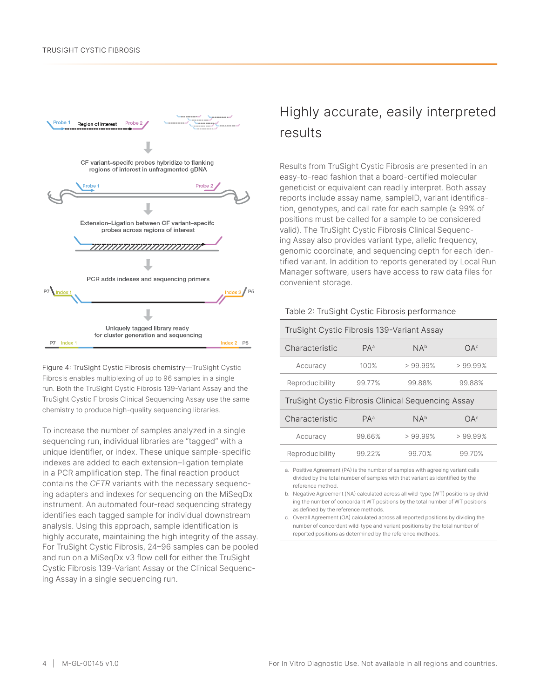

Figure 4: TruSight Cystic Fibrosis chemistry—TruSight Cystic Fibrosis enables multiplexing of up to 96 samples in a single run. Both the TruSight Cystic Fibrosis 139-Variant Assay and the TruSight Cystic Fibrosis Clinical Sequencing Assay use the same chemistry to produce high-quality sequencing libraries.

To increase the number of samples analyzed in a single sequencing run, individual libraries are "tagged" with a unique identifier, or index. These unique sample-specific indexes are added to each extension–ligation template in a PCR amplification step. The final reaction product contains the *CFTR* variants with the necessary sequencing adapters and indexes for sequencing on the MiSeqDx instrument. An automated four-read sequencing strategy identifies each tagged sample for individual downstream analysis. Using this approach, sample identification is highly accurate, maintaining the high integrity of the assay. For TruSight Cystic Fibrosis, 24–96 samples can be pooled and run on a MiSeqDx v3 flow cell for either the TruSight Cystic Fibrosis 139-Variant Assay or the Clinical Sequencing Assay in a single sequencing run.

# Highly accurate, easily interpreted results

Results from TruSight Cystic Fibrosis are presented in an easy-to-read fashion that a board-certified molecular geneticist or equivalent can readily interpret. Both assay reports include assay name, sampleID, variant identification, genotypes, and call rate for each sample (≥ 99% of positions must be called for a sample to be considered valid). The TruSight Cystic Fibrosis Clinical Sequencing Assay also provides variant type, allelic frequency, genomic coordinate, and sequencing depth for each identified variant. In addition to reports generated by Local Run Manager software, users have access to raw data files for convenient storage.

#### Table 2: TruSight Cystic Fibrosis performance

| TruSight Cystic Fibrosis 139-Variant Assay         |                 |                 |                 |  |
|----------------------------------------------------|-----------------|-----------------|-----------------|--|
| Characteristic                                     | PA <sup>a</sup> | NA <sup>b</sup> | OA <sup>c</sup> |  |
| Accuracy                                           | 100%            | > 99.99%        | $>99.99\%$      |  |
| Reproducibility                                    | 99.77%          | 99.88%          | 99.88%          |  |
| TruSight Cystic Fibrosis Clinical Sequencing Assay |                 |                 |                 |  |
| Characteristic                                     | PA <sup>a</sup> | NA <sup>b</sup> | OA <sup>c</sup> |  |
| Accuracy                                           | 99.66%          | $>99.99\%$      | $>99.99\%$      |  |
| Reproducibility                                    | 99.22%          | 99.70%          | 99.70%          |  |

a. Positive Agreement (PA) is the number of samples with agreeing variant calls divided by the total number of samples with that variant as identified by the reference method.

b. Negative Agreement (NA) calculated across all wild-type (WT) positions by dividing the number of concordant WT positions by the total number of WT positions as defined by the reference methods.

c. Overall Agreement (OA) calculated across all reported positions by dividing the number of concordant wild-type and variant positions by the total number of reported positions as determined by the reference methods.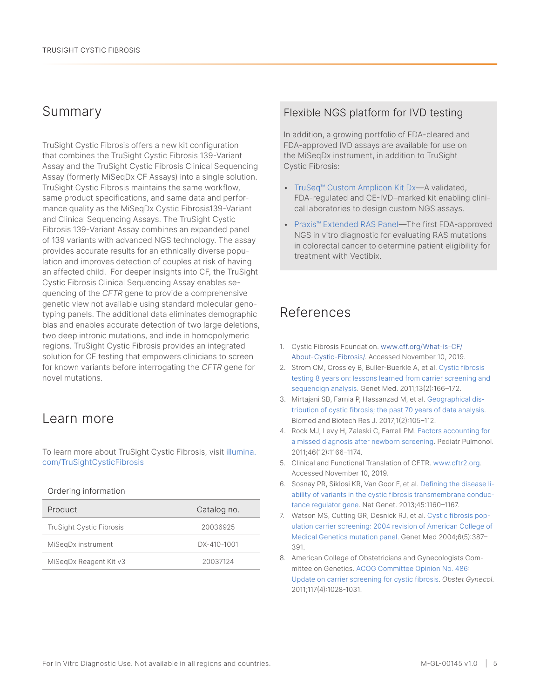## Summary

TruSight Cystic Fibrosis offers a new kit configuration that combines the TruSight Cystic Fibrosis 139-Variant Assay and the TruSight Cystic Fibrosis Clinical Sequencing Assay (formerly MiSeqDx CF Assays) into a single solution. TruSight Cystic Fibrosis maintains the same workflow, same product specifications, and same data and performance quality as the MiSeqDx Cystic Fibrosis139-Variant and Clinical Sequencing Assays. The TruSight Cystic Fibrosis 139-Variant Assay combines an expanded panel of 139 variants with advanced NGS technology. The assay provides accurate results for an ethnically diverse population and improves detection of couples at risk of having an affected child. For deeper insights into CF, the TruSight Cystic Fibrosis Clinical Sequencing Assay enables sequencing of the *CFTR* gene to provide a comprehensive genetic view not available using standard molecular genotyping panels. The additional data eliminates demographic bias and enables accurate detection of two large deletions, two deep intronic mutations, and inde in homopolymeric regions. TruSight Cystic Fibrosis provides an integrated solution for CF testing that empowers clinicians to screen for known variants before interrogating the *CFTR* gene for novel mutations.

## Learn more

To learn more about TruSight Cystic Fibrosis, visit [illumina.](http://www.illumina.com/TruSightCysticFibrosis) [com/TruSightCysticFibrosis](http://www.illumina.com/TruSightCysticFibrosis)

#### Ordering information

| Product                         | Catalog no. |
|---------------------------------|-------------|
| <b>TruSight Cystic Fibrosis</b> | 20036925    |
| MiSegDx instrument              | DX-410-1001 |
| MiSegDx Reagent Kit v3          | 20037124    |

#### Flexible NGS platform for IVD testing

In addition, a growing portfolio of FDA-cleared and FDA-approved IVD assays are available for use on the MiSeqDx instrument, in addition to TruSight Cystic Fibrosis:

- [TruSeq™ Custom Amplicon Kit Dx—](https://www.illumina.com/products/by-type/ivd-products/truseq-custom-amplicon-dx.html)A validated, FDA-regulated and CE-IVD–marked kit enabling clinical laboratories to design custom NGS assays.
- [Praxis™ Extended RAS Panel](https://www.illumina.com/products/by-type/ivd-products/extended-ras-panel.html)—The first FDA-approved NGS in vitro diagnostic for evaluating RAS mutations in colorectal cancer to determine patient eligibility for treatment with Vectibix.

# References

- 1. Cystic Fibrosis Foundation. [www.cff.org/What-is-CF/](https://www.cff.org/What-is-CF/About-Cystic-Fibrosis/) [About-Cystic-Fibrosis/](https://www.cff.org/What-is-CF/About-Cystic-Fibrosis/). Accessed November 10, 2019.
- 2. Strom CM, Crossley B, Buller-Buerkle A, et al. [Cystic fibrosis](https://www.ncbi.nlm.nih.gov/pubmed/21068670)  [testing 8 years on: lessons learned from carrier screening and](https://www.ncbi.nlm.nih.gov/pubmed/21068670)  [sequencign analysis](https://www.ncbi.nlm.nih.gov/pubmed/21068670). Genet Med. 2011;13(2):166–172.
- 3. Mirtajani SB, Farnia P, Hassanzad M, et al. [Geographical dis](http://www.bmbtrj.org/article.asp?issn=2588-9834;year=2017;volume=1;issue=2;spage=105;epage=112;aulast=Mirtajani)[tribution of cystic fibrosis; the past 70 years of data analysis](http://www.bmbtrj.org/article.asp?issn=2588-9834;year=2017;volume=1;issue=2;spage=105;epage=112;aulast=Mirtajani). Biomed and Biotech Res J. 2017;1(2):105–112.
- 4. Rock MJ, Levy H, Zaleski C, Farrell PM. [Factors accounting for](https://www.ncbi.nlm.nih.gov/pmc/articles/PMC4469987/)  [a missed diagnosis after newborn screening](https://www.ncbi.nlm.nih.gov/pmc/articles/PMC4469987/). Pediatr Pulmonol. 2011;46(12):1166–1174.
- 5. Clinical and Functional Translation of CFTR. [www.cftr2.org](https://www.cftr2.org/). Accessed November 10, 2019.
- 6. Sosnay PR, Siklosi KR, Van Goor F, et al. [Defining the disease li](https://www.ncbi.nlm.nih.gov/pubmed/23974870)[ability of variants in the cystic fibrosis transmembrane conduc](https://www.ncbi.nlm.nih.gov/pubmed/23974870)[tance regulator gene](https://www.ncbi.nlm.nih.gov/pubmed/23974870). Nat Genet. 2013;45:1160–1167.
- 7. Watson MS, Cutting GR, Desnick RJ, et al. [Cystic fibrosis pop](https://www.ncbi.nlm.nih.gov/pubmed/15371902)[ulation carrier screening: 2004 revision of American College of](https://www.ncbi.nlm.nih.gov/pubmed/15371902)  [Medical Genetics mutation panel.](https://www.ncbi.nlm.nih.gov/pubmed/15371902) Genet Med 2004;6(5):387– 391.
- 8. American College of Obstetricians and Gynecologists Committee on Genetics. [ACOG Committee Opinion No. 486:](https://www.ncbi.nlm.nih.gov/pubmed/21422883)  [Update on carrier screening for cystic fibrosis](https://www.ncbi.nlm.nih.gov/pubmed/21422883). *Obstet Gynecol*. 2011;117(4):1028-1031.